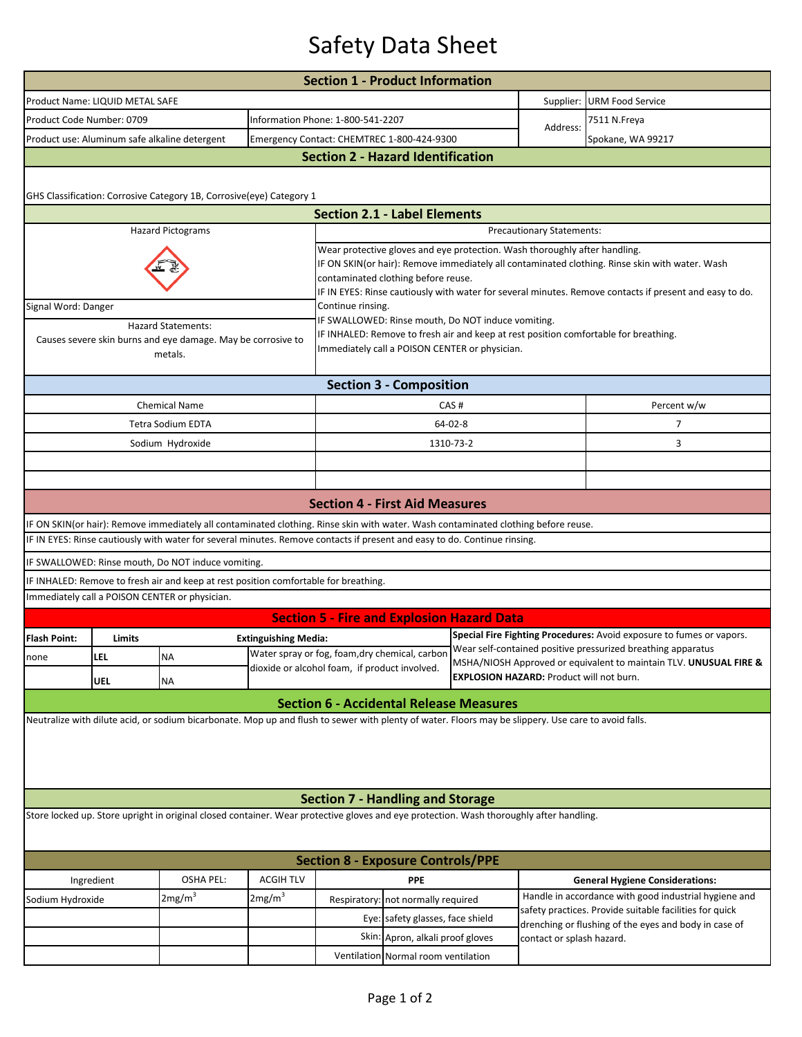## Safety Data Sheet

|                                                                                                                                                                                    |                                                                      |                                                                                                                                        |                             | <b>Section 1 - Product Information</b>                                                                                                                                                                                                                                                                                         |                                     |                           |                                                                                                                  |                                                                      |  |  |  |  |  |
|------------------------------------------------------------------------------------------------------------------------------------------------------------------------------------|----------------------------------------------------------------------|----------------------------------------------------------------------------------------------------------------------------------------|-----------------------------|--------------------------------------------------------------------------------------------------------------------------------------------------------------------------------------------------------------------------------------------------------------------------------------------------------------------------------|-------------------------------------|---------------------------|------------------------------------------------------------------------------------------------------------------|----------------------------------------------------------------------|--|--|--|--|--|
|                                                                                                                                                                                    | Product Name: LIQUID METAL SAFE                                      |                                                                                                                                        |                             |                                                                                                                                                                                                                                                                                                                                |                                     |                           | Supplier:                                                                                                        | <b>URM Food Service</b>                                              |  |  |  |  |  |
|                                                                                                                                                                                    | Product Code Number: 0709                                            |                                                                                                                                        |                             |                                                                                                                                                                                                                                                                                                                                | Information Phone: 1-800-541-2207   |                           |                                                                                                                  | 7511 N.Freya                                                         |  |  |  |  |  |
|                                                                                                                                                                                    |                                                                      | Product use: Aluminum safe alkaline detergent                                                                                          |                             | Emergency Contact: CHEMTREC 1-800-424-9300                                                                                                                                                                                                                                                                                     |                                     |                           | Address:                                                                                                         | Spokane, WA 99217                                                    |  |  |  |  |  |
| <b>Section 2 - Hazard Identification</b>                                                                                                                                           |                                                                      |                                                                                                                                        |                             |                                                                                                                                                                                                                                                                                                                                |                                     |                           |                                                                                                                  |                                                                      |  |  |  |  |  |
|                                                                                                                                                                                    | GHS Classification: Corrosive Category 1B, Corrosive(eye) Category 1 |                                                                                                                                        |                             |                                                                                                                                                                                                                                                                                                                                |                                     |                           |                                                                                                                  |                                                                      |  |  |  |  |  |
|                                                                                                                                                                                    |                                                                      |                                                                                                                                        |                             | <b>Section 2.1 - Label Elements</b>                                                                                                                                                                                                                                                                                            |                                     |                           |                                                                                                                  |                                                                      |  |  |  |  |  |
|                                                                                                                                                                                    |                                                                      | <b>Hazard Pictograms</b>                                                                                                               |                             | Precautionary Statements:                                                                                                                                                                                                                                                                                                      |                                     |                           |                                                                                                                  |                                                                      |  |  |  |  |  |
|                                                                                                                                                                                    |                                                                      |                                                                                                                                        |                             | Wear protective gloves and eye protection. Wash thoroughly after handling.<br>IF ON SKIN(or hair): Remove immediately all contaminated clothing. Rinse skin with water. Wash<br>contaminated clothing before reuse.<br>IF IN EYES: Rinse cautiously with water for several minutes. Remove contacts if present and easy to do. |                                     |                           |                                                                                                                  |                                                                      |  |  |  |  |  |
| Signal Word: Danger                                                                                                                                                                |                                                                      |                                                                                                                                        |                             | Continue rinsing.                                                                                                                                                                                                                                                                                                              |                                     |                           |                                                                                                                  |                                                                      |  |  |  |  |  |
| <b>Hazard Statements:</b><br>Causes severe skin burns and eye damage. May be corrosive to<br>metals.                                                                               |                                                                      |                                                                                                                                        |                             | IF SWALLOWED: Rinse mouth, Do NOT induce vomiting.<br>IF INHALED: Remove to fresh air and keep at rest position comfortable for breathing.<br>Immediately call a POISON CENTER or physician.                                                                                                                                   |                                     |                           |                                                                                                                  |                                                                      |  |  |  |  |  |
| <b>Section 3 - Composition</b>                                                                                                                                                     |                                                                      |                                                                                                                                        |                             |                                                                                                                                                                                                                                                                                                                                |                                     |                           |                                                                                                                  |                                                                      |  |  |  |  |  |
|                                                                                                                                                                                    |                                                                      | <b>Chemical Name</b>                                                                                                                   |                             | CAS#                                                                                                                                                                                                                                                                                                                           |                                     |                           |                                                                                                                  | Percent w/w                                                          |  |  |  |  |  |
|                                                                                                                                                                                    |                                                                      | <b>Tetra Sodium EDTA</b>                                                                                                               |                             | $64 - 02 - 8$                                                                                                                                                                                                                                                                                                                  |                                     |                           |                                                                                                                  | 7                                                                    |  |  |  |  |  |
|                                                                                                                                                                                    |                                                                      | Sodium Hydroxide                                                                                                                       |                             | 1310-73-2                                                                                                                                                                                                                                                                                                                      |                                     |                           |                                                                                                                  | 3                                                                    |  |  |  |  |  |
|                                                                                                                                                                                    |                                                                      |                                                                                                                                        |                             |                                                                                                                                                                                                                                                                                                                                |                                     |                           |                                                                                                                  |                                                                      |  |  |  |  |  |
|                                                                                                                                                                                    |                                                                      |                                                                                                                                        |                             |                                                                                                                                                                                                                                                                                                                                |                                     |                           |                                                                                                                  |                                                                      |  |  |  |  |  |
|                                                                                                                                                                                    |                                                                      |                                                                                                                                        |                             | <b>Section 4 - First Aid Measures</b>                                                                                                                                                                                                                                                                                          |                                     |                           |                                                                                                                  |                                                                      |  |  |  |  |  |
|                                                                                                                                                                                    |                                                                      | IF ON SKIN(or hair): Remove immediately all contaminated clothing. Rinse skin with water. Wash contaminated clothing before reuse.     |                             |                                                                                                                                                                                                                                                                                                                                |                                     |                           |                                                                                                                  |                                                                      |  |  |  |  |  |
|                                                                                                                                                                                    |                                                                      | IF IN EYES: Rinse cautiously with water for several minutes. Remove contacts if present and easy to do. Continue rinsing.              |                             |                                                                                                                                                                                                                                                                                                                                |                                     |                           |                                                                                                                  |                                                                      |  |  |  |  |  |
|                                                                                                                                                                                    |                                                                      | IF SWALLOWED: Rinse mouth, Do NOT induce vomiting.                                                                                     |                             |                                                                                                                                                                                                                                                                                                                                |                                     |                           |                                                                                                                  |                                                                      |  |  |  |  |  |
|                                                                                                                                                                                    |                                                                      | IF INHALED: Remove to fresh air and keep at rest position comfortable for breathing.<br>Immediately call a POISON CENTER or physician. |                             |                                                                                                                                                                                                                                                                                                                                |                                     |                           |                                                                                                                  |                                                                      |  |  |  |  |  |
|                                                                                                                                                                                    |                                                                      |                                                                                                                                        |                             |                                                                                                                                                                                                                                                                                                                                |                                     |                           |                                                                                                                  |                                                                      |  |  |  |  |  |
|                                                                                                                                                                                    |                                                                      |                                                                                                                                        |                             | <b>Section 5 - Fire and Explosion Hazard Data</b>                                                                                                                                                                                                                                                                              |                                     |                           |                                                                                                                  | Special Fire Fighting Procedures: Avoid exposure to fumes or vapors. |  |  |  |  |  |
| <b>Flash Point:</b>                                                                                                                                                                | Limits                                                               |                                                                                                                                        | <b>Extinguishing Media:</b> | Water spray or fog, foam, dry chemical, carbon                                                                                                                                                                                                                                                                                 |                                     |                           | Wear self-contained positive pressurized breathing apparatus                                                     |                                                                      |  |  |  |  |  |
| none                                                                                                                                                                               | LEL                                                                  | <b>NA</b>                                                                                                                              |                             | dioxide or alcohol foam, if product involved.                                                                                                                                                                                                                                                                                  |                                     |                           | MSHA/NIOSH Approved or equivalent to maintain TLV. UNUSUAL FIRE &                                                |                                                                      |  |  |  |  |  |
|                                                                                                                                                                                    | <b>UEL</b>                                                           | NA                                                                                                                                     |                             |                                                                                                                                                                                                                                                                                                                                |                                     |                           | <b>EXPLOSION HAZARD: Product will not burn.</b>                                                                  |                                                                      |  |  |  |  |  |
|                                                                                                                                                                                    |                                                                      |                                                                                                                                        |                             | <b>Section 6 - Accidental Release Measures</b>                                                                                                                                                                                                                                                                                 |                                     |                           |                                                                                                                  |                                                                      |  |  |  |  |  |
| Neutralize with dilute acid, or sodium bicarbonate. Mop up and flush to sewer with plenty of water. Floors may be slippery. Use care to avoid falls.                               |                                                                      |                                                                                                                                        |                             |                                                                                                                                                                                                                                                                                                                                |                                     |                           |                                                                                                                  |                                                                      |  |  |  |  |  |
|                                                                                                                                                                                    |                                                                      |                                                                                                                                        |                             |                                                                                                                                                                                                                                                                                                                                |                                     |                           |                                                                                                                  |                                                                      |  |  |  |  |  |
| <b>Section 7 - Handling and Storage</b><br>Store locked up. Store upright in original closed container. Wear protective gloves and eye protection. Wash thoroughly after handling. |                                                                      |                                                                                                                                        |                             |                                                                                                                                                                                                                                                                                                                                |                                     |                           |                                                                                                                  |                                                                      |  |  |  |  |  |
| <b>Section 8 - Exposure Controls/PPE</b>                                                                                                                                           |                                                                      |                                                                                                                                        |                             |                                                                                                                                                                                                                                                                                                                                |                                     |                           |                                                                                                                  |                                                                      |  |  |  |  |  |
| Ingredient                                                                                                                                                                         |                                                                      | <b>OSHA PEL:</b>                                                                                                                       | <b>ACGIH TLV</b>            | <b>PPE</b>                                                                                                                                                                                                                                                                                                                     |                                     |                           |                                                                                                                  | <b>General Hygiene Considerations:</b>                               |  |  |  |  |  |
| Sodium Hydroxide                                                                                                                                                                   |                                                                      | 2mg/m <sup>3</sup>                                                                                                                     | 2mg/m <sup>3</sup>          | Respiratory: not normally required                                                                                                                                                                                                                                                                                             |                                     |                           |                                                                                                                  | Handle in accordance with good industrial hygiene and                |  |  |  |  |  |
|                                                                                                                                                                                    |                                                                      |                                                                                                                                        |                             |                                                                                                                                                                                                                                                                                                                                | Eye: safety glasses, face shield    |                           | safety practices. Provide suitable facilities for quick<br>drenching or flushing of the eyes and body in case of |                                                                      |  |  |  |  |  |
|                                                                                                                                                                                    |                                                                      |                                                                                                                                        |                             | Skin:<br>Apron, alkali proof gloves                                                                                                                                                                                                                                                                                            |                                     | contact or splash hazard. |                                                                                                                  |                                                                      |  |  |  |  |  |
|                                                                                                                                                                                    |                                                                      |                                                                                                                                        |                             |                                                                                                                                                                                                                                                                                                                                | Ventilation Normal room ventilation |                           |                                                                                                                  |                                                                      |  |  |  |  |  |